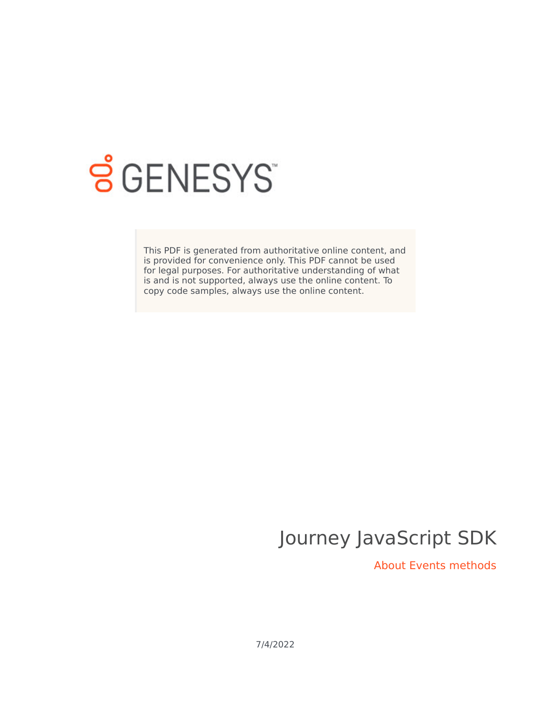

# **SGENESYS**

This PDF is generated from authoritative online content, and is provided for convenience only. This PDF cannot be used for legal purposes. For authoritative understanding of what is and is not supported, always use the online content. To copy code samples, always use the online content.

## Journey JavaScript SDK

About Events methods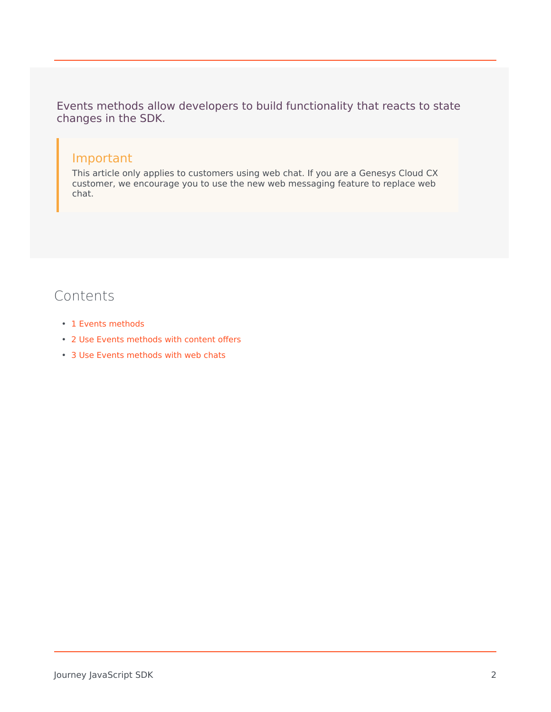Events methods allow developers to build functionality that reacts to state changes in the SDK.

## Important

This article only applies to customers using web chat. If you are a Genesys Cloud CX customer, we encourage you to use the new web messaging feature to replace web chat.

## Contents

- 1 [Events methods](#page-2-0)
- 2 [Use Events methods with content offers](#page-2-1)
- 3 [Use Events methods with web chats](#page-2-2)